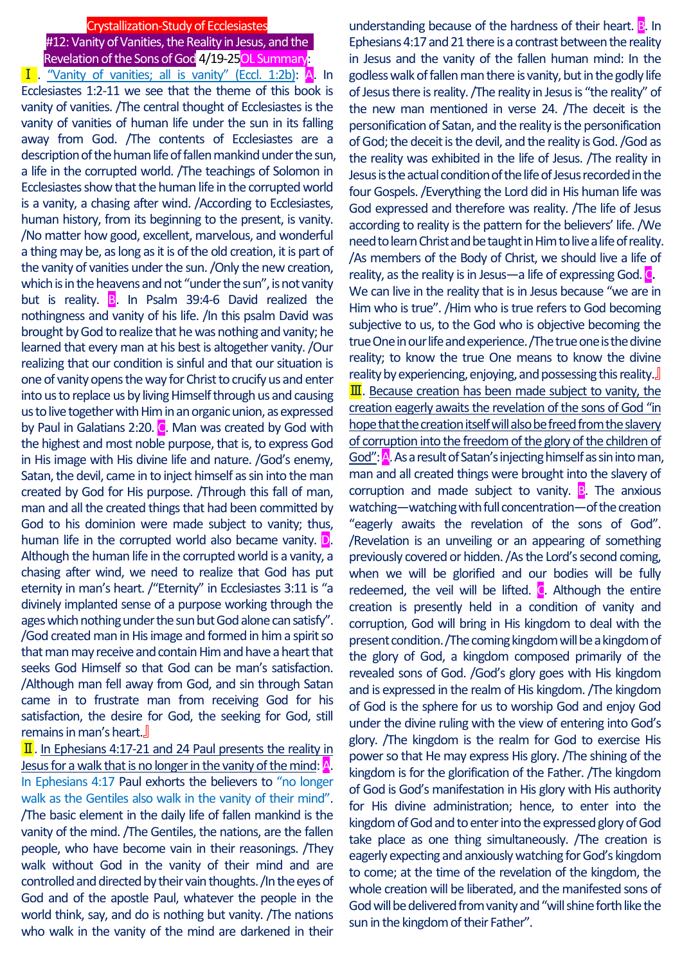# Crystallization-Study of Ecclesiastes #12: Vanity of Vanities, the Reality in Jesus, and the Revelation of the Sons of God 4/19-25OL Summary:

Ⅰ. "Vanity of vanities; all is vanity" (Eccl. 1:2b): A. In Ecclesiastes 1:2-11 we see that the theme of this book is vanity of vanities. /The central thought of Ecclesiastes is the vanity of vanities of human life under the sun in its falling away from God. /The contents of Ecclesiastes are a description of the human life of fallen mankind under the sun, a life in the corrupted world. /The teachings of Solomon in Ecclesiastes show that the human life in the corrupted world is a vanity, a chasing after wind. /According to Ecclesiastes, human history, from its beginning to the present, is vanity. /No matter how good, excellent, marvelous, and wonderful a thing may be, as long as it is of the old creation, it is part of the vanity of vanities under the sun. /Only the new creation, which is in the heavens and not "under the sun", is not vanity but is reality.  $\overline{B}$ . In Psalm 39:4-6 David realized the nothingness and vanity of his life. /In this psalm David was brought by God to realize that he was nothing and vanity; he learned that every man at his best is altogether vanity. /Our realizing that our condition is sinful and that our situation is one of vanity opens the way for Christ to crucify us and enter into us to replace us by living Himself through us and causing us to live together with Him in an organic union, as expressed by Paul in Galatians 2:20. C. Man was created by God with the highest and most noble purpose, that is, to express God in His image with His divine life and nature. /God's enemy, Satan, the devil, came in to inject himself as sin into the man created by God for His purpose. /Through this fall of man, man and all the created things that had been committed by God to his dominion were made subject to vanity; thus, human life in the corrupted world also became vanity. **D.** Although the human life in the corrupted world is a vanity, a chasing after wind, we need to realize that God has put eternity in man's heart. /"Eternity" in Ecclesiastes 3:11 is "a divinely implanted sense of a purpose working through the ages which nothing under the sun but God alone can satisfy". /God created man in His image and formed in him a spirit so that man may receive and contain Him and have a heart that seeks God Himself so that God can be man's satisfaction. /Although man fell away from God, and sin through Satan came in to frustrate man from receiving God for his satisfaction, the desire for God, the seeking for God, still remains in man's heart.』

II. In Ephesians 4:17-21 and 24 Paul presents the reality in Jesus for a walk that is no longer in the vanity of the mind:  $\mathbf{A}$ . In Ephesians 4:17 Paul exhorts the believers to "no longer walk as the Gentiles also walk in the vanity of their mind". /The basic element in the daily life of fallen mankind is the vanity of the mind. /The Gentiles, the nations, are the fallen people, who have become vain in their reasonings. /They walk without God in the vanity of their mind and are controlled and directed by their vain thoughts. /In the eyes of God and of the apostle Paul, whatever the people in the world think, say, and do is nothing but vanity. /The nations who walk in the vanity of the mind are darkened in their

understanding because of the hardness of their heart. **B**. In Ephesians 4:17 and 21 there is a contrast between the reality in Jesus and the vanity of the fallen human mind: In the godless walk of fallen man there is vanity, but in the godly life of Jesus there is reality. /The reality in Jesus is "the reality" of the new man mentioned in verse 24. /The deceit is the personification of Satan, and the reality is the personification of God; the deceit is the devil, and the reality is God. /God as the reality was exhibited in the life of Jesus. /The reality in Jesus is the actual condition of the life of Jesus recorded in the four Gospels. /Everything the Lord did in His human life was God expressed and therefore was reality. /The life of Jesus according to reality is the pattern for the believers' life. /We need to learn Christ and be taught in Him to live a life of reality. /As members of the Body of Christ, we should live a life of reality, as the reality is in Jesus—a life of expressing God.  $\bullet$ We can live in the reality that is in Jesus because "we are in Him who is true". /Him who is true refers to God becoming subjective to us, to the God who is objective becoming the true One in our life and experience. /The true one is the divine reality; to know the true One means to know the divine reality by experiencing, enjoying, and possessing this reality.』  $\overline{\mathbf{II}}$ . Because creation has been made subject to vanity, the creation eagerly awaits the revelation of the sons of God "in hope that the creation itself will also be freed from the slavery of corruption into the freedom of the glory of the children of God": A. As a result of Satan's injecting himself as sin into man, man and all created things were brought into the slavery of corruption and made subject to vanity.  $\mathbb{B}$ . The anxious watching—watching with full concentration—of the creation "eagerly awaits the revelation of the sons of God". /Revelation is an unveiling or an appearing of something previously covered or hidden. /As the Lord's second coming, when we will be glorified and our bodies will be fully redeemed, the veil will be lifted.  $\overline{C}$ . Although the entire creation is presently held in a condition of vanity and corruption, God will bring in His kingdom to deal with the present condition. /The coming kingdom will be a kingdom of the glory of God, a kingdom composed primarily of the revealed sons of God. /God's glory goes with His kingdom and is expressed in the realm of His kingdom. /The kingdom of God is the sphere for us to worship God and enjoy God under the divine ruling with the view of entering into God's glory. /The kingdom is the realm for God to exercise His power so that He may express His glory. /The shining of the kingdom is for the glorification of the Father. /The kingdom of God is God's manifestation in His glory with His authority for His divine administration; hence, to enter into the kingdom of God and to enter into the expressed glory of God take place as one thing simultaneously. /The creation is eagerly expecting and anxiously watching for God's kingdom to come; at the time of the revelation of the kingdom, the whole creation will be liberated, and the manifested sons of God will be delivered from vanity and "will shine forth like the sun in the kingdom of their Father".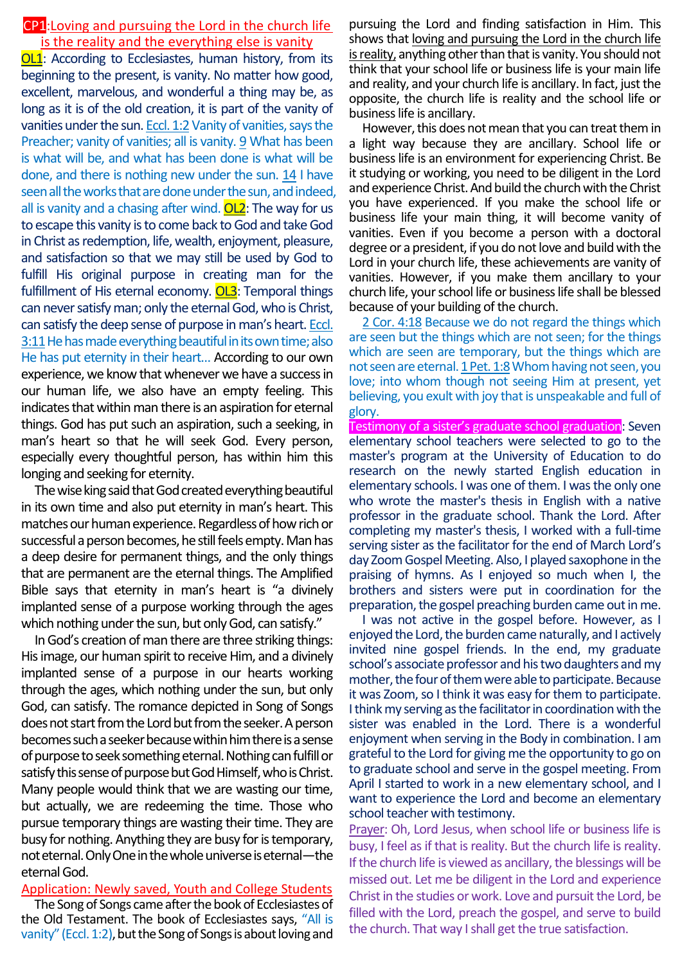# CP1:Loving and pursuing the Lord in the church life is the reality and the everything else is vanity

**OL1**: According to Ecclesiastes, human history, from its beginning to the present, is vanity. No matter how good, excellent, marvelous, and wonderful a thing may be, as long as it is of the old creation, it is part of the vanity of vanities under the sun. Eccl. 1:2 Vanity of vanities, says the Preacher; vanity of vanities; all is vanity. 9 What has been is what will be, and what has been done is what will be done, and there is nothing new under the sun. 14 I have seen all the works that are done under the sun, and indeed, all is vanity and a chasing after wind.  $OL2$ : The way for us to escape this vanity is to come back to God and take God in Christ as redemption, life, wealth, enjoyment, pleasure, and satisfaction so that we may still be used by God to fulfill His original purpose in creating man for the fulfillment of His eternal economy. OL3: Temporal things can never satisfy man; only the eternal God, who is Christ, can satisfy the deep sense of purpose in man's heart. Eccl. 3:11He has made everything beautiful in its own time; also He has put eternity in their heart… According to our own experience, we know that whenever we have a success in our human life, we also have an empty feeling. This indicates that within man there is an aspiration for eternal things. God has put such an aspiration, such a seeking, in man's heart so that he will seek God. Every person, especially every thoughtful person, has within him this longing and seeking for eternity.

The wise king said that God created everything beautiful in its own time and also put eternity in man's heart. This matches our human experience. Regardless of how rich or successful a person becomes, he still feels empty. Man has a deep desire for permanent things, and the only things that are permanent are the eternal things. The Amplified Bible says that eternity in man's heart is "a divinely implanted sense of a purpose working through the ages which nothing under the sun, but only God, can satisfy."

InGod's creation of man there are three striking things: His image, our human spirit to receive Him, and a divinely implanted sense of a purpose in our hearts working through the ages, which nothing under the sun, but only God, can satisfy. The romance depicted in Song of Songs does not start from the Lord but from the seeker. A person becomes such a seeker because within him there is a sense of purpose to seek something eternal. Nothing can fulfill or satisfy this sense of purpose but God Himself, who is Christ. Many people would think that we are wasting our time, but actually, we are redeeming the time. Those who pursue temporary things are wasting their time. They are busy for nothing. Anything they are busy for is temporary, not eternal. Only One in the whole universe is eternal—the eternal God.

Application: Newly saved, Youth and College Students

The Song of Songs came after the book of Ecclesiastes of the Old Testament. The book of Ecclesiastes says, "All is vanity" (Eccl. 1:2), but the Song of Songs is about loving and

pursuing the Lord and finding satisfaction in Him. This shows that loving and pursuing the Lord in the church life is reality, anything other than that is vanity. You should not think that your school life or business life is your main life and reality, and your church life is ancillary. In fact, just the opposite, the church life is reality and the school life or business life is ancillary.

However, this does not mean that you can treat them in a light way because they are ancillary. School life or business life is an environment for experiencing Christ. Be it studying or working, you need to be diligent in the Lord and experience Christ. And build the church with the Christ you have experienced. If you make the school life or business life your main thing, it will become vanity of vanities. Even if you become a person with a doctoral degree or a president, if you do not love and build with the Lord in your church life, these achievements are vanity of vanities. However, if you make them ancillary to your church life, your school life or business life shall be blessed because of your building of the church.

2 Cor. 4:18 Because we do not regard the things which are seen but the things which are not seen; for the things which are seen are temporary, but the things which are not seen are eternal. 1 Pet. 1:8 Whom having not seen, you love; into whom though not seeing Him at present, yet believing, you exult with joy that is unspeakable and full of glory.

Testimony of a sister's graduate school graduation: Seven elementary school teachers were selected to go to the master's program at the University of Education to do research on the newly started English education in elementary schools. I was one of them. I was the only one who wrote the master's thesis in English with a native professor in the graduate school. Thank the Lord. After completing my master's thesis, I worked with a full-time serving sister as the facilitator for the end of March Lord's day Zoom Gospel Meeting. Also, I played saxophone in the praising of hymns. As I enjoyed so much when I, the brothers and sisters were put in coordination for the preparation, the gospel preaching burden came out in me.

I was not active in the gospel before. However, as I enjoyed the Lord, the burden came naturally, and I actively invited nine gospel friends. In the end, my graduate school's associate professor and his two daughters and my mother, the four of them were able to participate. Because it was Zoom, so I think it was easy for them to participate. I think my serving as the facilitator in coordinationwith the sister was enabled in the Lord. There is a wonderful enjoyment when serving in the Body in combination. I am grateful to the Lord for giving me the opportunity to go on to graduate school and serve in the gospel meeting. From April I started to work in a new elementary school, and I want to experience the Lord and become an elementary school teacher with testimony.

Prayer: Oh, Lord Jesus, when school life or business life is busy, I feel as if that is reality. But the church life is reality. If the church life is viewed as ancillary, the blessings will be missed out. Let me be diligent in the Lord and experience Christ in the studies or work. Love and pursuit the Lord, be filled with the Lord, preach the gospel, and serve to build the church. That way I shall get the true satisfaction.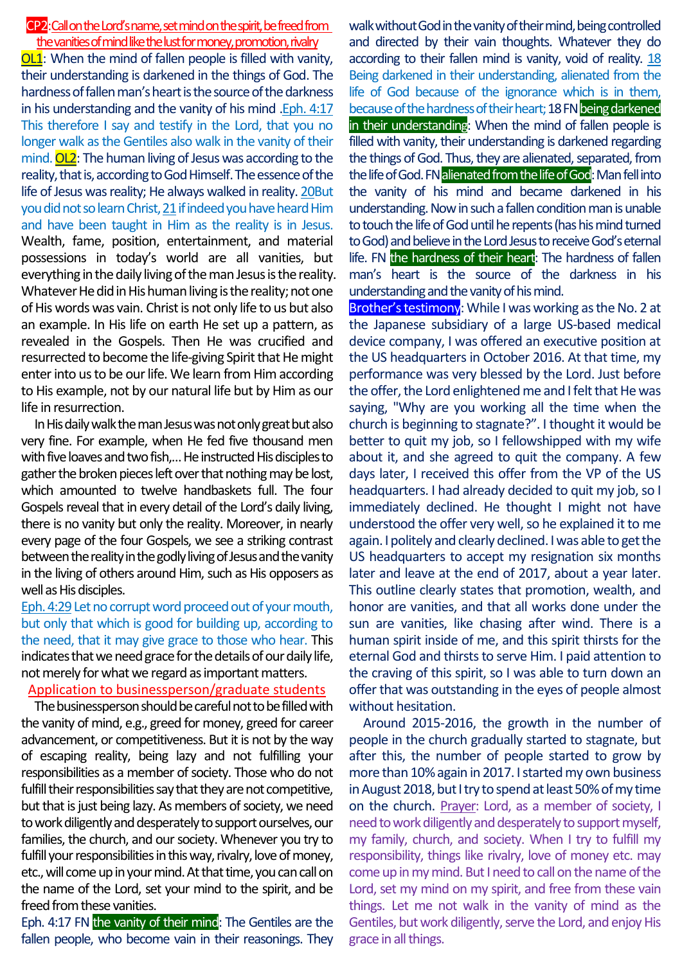## CP2:Call on the Lord's name, set mind on the spirit, be freed from the vanities of mind like the lust for money, promotion, rivalry

OL1: When the mind of fallen people is filled with vanity, their understanding is darkened in the things of God. The hardness of fallen man's heart is the source of the darkness in his understanding and the vanity of his mind .Eph. 4:17 This therefore I say and testify in the Lord, that you no longer walk as the Gentiles also walk in the vanity of their mind.  $OL2$ : The human living of Jesus was according to the reality, that is, according to God Himself. The essence of the life of Jesus was reality; He always walked in reality. 20But you did not so learn Christ, 21if indeed you have heard Him and have been taught in Him as the reality is in Jesus. Wealth, fame, position, entertainment, and material possessions in today's world are all vanities, but everything in the daily living of the man Jesus is the reality. Whatever He did in His human living is the reality; not one of His words was vain. Christ is not only life to us but also an example. In His life on earth He set up a pattern, as revealed in the Gospels. Then He was crucified and resurrected to become the life-giving Spirit that He might enter into us to be our life. We learn from Him according to His example, not by our natural life but by Him as our life in resurrection.

In His daily walk the man Jesus was not only great but also very fine. For example, when He fed five thousand men with five loaves and two fish,… He instructed His disciples to gather the broken pieces left over that nothing may be lost, which amounted to twelve handbaskets full. The four Gospels reveal that in every detail of the Lord's daily living, there is no vanity but only the reality. Moreover, in nearly every page of the four Gospels, we see a striking contrast between the reality in the godly living of Jesus and the vanity in the living of others around Him, such as His opposers as well as His disciples.

Eph. 4:29Let no corrupt word proceed out of your mouth, but only that which is good for building up, according to the need, that it may give grace to those who hear. This indicates that we need grace for the details of our daily life, not merely for what we regard as important matters.

#### Application to businessperson/graduate students

The businessperson should be careful not to be filled with the vanity of mind, e.g., greed for money, greed for career advancement, or competitiveness. But it is not by the way of escaping reality, being lazy and not fulfilling your responsibilities as a member of society. Those who do not fulfill their responsibilities say that they are not competitive, but that is just being lazy. As members of society, we need to work diligently and desperately to support ourselves, our families, the church, and our society. Whenever you try to fulfill your responsibilities in this way, rivalry, love of money, etc., will come up in your mind. At that time, you can call on the name of the Lord, set your mind to the spirit, and be freed from these vanities.

Eph. 4:17 FN the vanity of their mind: The Gentiles are the fallen people, who become vain in their reasonings. They walk without God in the vanity of their mind, being controlled and directed by their vain thoughts. Whatever they do according to their fallen mind is vanity, void of reality. 18 Being darkened in their understanding, alienated from the life of God because of the ignorance which is in them, because of the hardness of their heart; 18 FN being darkened in their understanding: When the mind of fallen people is filled with vanity, their understanding is darkened regarding the things of God. Thus, they are alienated, separated, from the life of God. FNalienated from the life of God: Man fell into the vanity of his mind and became darkened in his understanding. Now in such a fallen condition man is unable to touch the life of God until he repents (has his mind turned to God) and believe in the Lord Jesus to receive God's eternal life. FN the hardness of their heart: The hardness of fallen man's heart is the source of the darkness in his understanding and the vanity of his mind.

Brother's testimony: While I was working as the No. 2 at the Japanese subsidiary of a large US-based medical device company, I was offered an executive position at the US headquarters in October 2016. At that time, my performance was very blessed by the Lord. Just before the offer, the Lord enlightened me and I felt that He was saying, "Why are you working all the time when the church is beginning to stagnate?". I thought it would be better to quit my job, so I fellowshipped with my wife about it, and she agreed to quit the company. A few days later, I received this offer from the VP of the US headquarters. I had already decided to quit my job, so I immediately declined. He thought I might not have understood the offer very well, so he explained it to me again. I politely and clearly declined. I was able to get the US headquarters to accept my resignation six months later and leave at the end of 2017, about a year later. This outline clearly states that promotion, wealth, and honor are vanities, and that all works done under the sun are vanities, like chasing after wind. There is a human spirit inside of me, and this spirit thirsts for the eternal God and thirsts to serve Him. I paid attention to the craving of this spirit, so I was able to turn down an offer that was outstanding in the eyes of people almost without hesitation.

Around 2015-2016, the growth in the number of people in the church gradually started to stagnate, but after this, the number of people started to grow by more than 10% again in 2017. I started my own business in August 2018, but I try to spend at least 50% of my time on the church. Prayer: Lord, as a member of society, I need to work diligently and desperately to support myself, my family, church, and society. When I try to fulfill my responsibility, things like rivalry, love of money etc. may come up in my mind. But I need to call on the name of the Lord, set my mind on my spirit, and free from these vain things. Let me not walk in the vanity of mind as the Gentiles, but work diligently, serve the Lord, and enjoy His grace in all things.